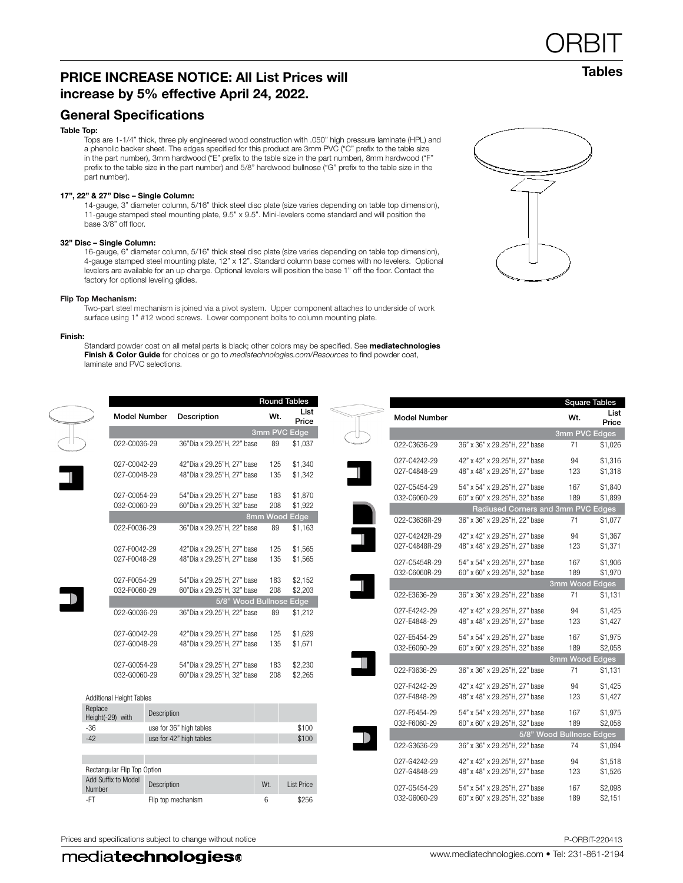## PRICE INCREASE NOTICE: All List Prices will increase by 5% effective April 24, 2022.

## General Specifications

#### Table Top:

Tops are 1-1/4" thick, three ply engineered wood construction with .050" high pressure laminate (HPL) and a phenolic backer sheet. The edges specified for this product are 3mm PVC ("C" prefix to the table size in the part number), 3mm hardwood ("E" prefix to the table size in the part number), 8mm hardwood ("F" prefix to the table size in the part number) and 5/8" hardwood bullnose ("G" prefix to the table size in the part number).

#### 17", 22" & 27" Disc – Single Column:

14-gauge, 3" diameter column, 5/16" thick steel disc plate (size varies depending on table top dimension), 11-gauge stamped steel mounting plate, 9.5" x 9.5". Mini-levelers come standard and will position the base 3/8" off floor.

#### 32" Disc – Single Column:

16-gauge, 6" diameter column, 5/16" thick steel disc plate (size varies depending on table top dimension), 4-gauge stamped steel mounting plate, 12" x 12". Standard column base comes with no levelers. Optional levelers are available for an up charge. Optional levelers will position the base 1" off the floor. Contact the factory for optionsl leveling glides.

#### Flip Top Mechanism:

Two-part steel mechanism is joined via a pivot system. Upper component attaches to underside of work surface using 1" #12 wood screws. Lower component bolts to column mounting plate.

#### Finish:

Standard powder coat on all metal parts is black; other colors may be specified. See mediatechnologies Finish & Color Guide for choices or go to *mediatechnologies.com/Resources* to find powder coat, laminate and PVC selections.

**Round** 

Price

ſ

| <b>Model Number</b>            |                                                                | <b>Square Tables</b><br>Wt. | List<br>Price      |
|--------------------------------|----------------------------------------------------------------|-----------------------------|--------------------|
|                                |                                                                | 3mm PVC Edges               |                    |
| 022-C3636-29                   | 36" x 36" x 29.25"H, 22" base                                  | 71                          | \$1,026            |
| 027-C4242-29<br>027-C4848-29   | 42" x 42" x 29.25"H, 27" base<br>48" x 48" x 29.25"H, 27" base | 94<br>123                   | \$1,316<br>\$1,318 |
| 027-C5454-29<br>032-C6060-29   | 54" x 54" x 29.25"H, 27" base<br>60" x 60" x 29.25"H, 32" base | 167<br>189                  | \$1,840<br>\$1,899 |
|                                | Radiused Corners and 3mm PVC Edges                             |                             |                    |
| 022-C3636R-29                  | 36" x 36" x 29.25"H, 22" base                                  | 71                          | \$1,077            |
| 027-C4242R-29<br>027-C4848R-29 | 42" x 42" x 29.25"H, 27" base<br>48" x 48" x 29.25"H, 27" base | 94<br>123                   | \$1,367<br>\$1,371 |
| 027-C5454R-29<br>032-C6060R-29 | 54" x 54" x 29.25"H, 27" base<br>60" x 60" x 29.25"H, 32" base | 167<br>189                  | \$1,906<br>\$1,970 |
|                                |                                                                | 3mm Wood Edges              |                    |
| 022-E3636-29                   | 36" x 36" x 29.25"H, 22" base                                  | 71                          | \$1,131            |
| 027-E4242-29<br>027-E4848-29   | 42" x 42" x 29.25"H, 27" base<br>48" x 48" x 29.25"H, 27" base | 94<br>123                   | \$1,425<br>\$1,427 |
| 027-E5454-29<br>032-E6060-29   | 54" x 54" x 29.25"H, 27" base<br>60" x 60" x 29.25"H, 32" base | 167<br>189                  | \$1,975<br>\$2,058 |
|                                |                                                                | 8mm Wood Edges              |                    |
| 022-F3636-29                   | 36" x 36" x 29.25"H, 22" base                                  | 71                          | \$1,131            |
| 027-F4242-29<br>027-F4848-29   | 42" x 42" x 29.25"H, 27" base<br>48" x 48" x 29.25"H, 27" base | 94<br>123                   | \$1,425<br>\$1,427 |
| 027-F5454-29<br>032-F6060-29   | 54" x 54" x 29.25"H, 27" base<br>60" x 60" x 29.25"H, 32" base | 167<br>189                  | \$1,975<br>\$2,058 |
|                                |                                                                | 5/8" Wood Bullnose Edges    |                    |
| 022-G3636-29                   | 36" x 36" x 29.25"H, 22" base                                  | 74                          | \$1,094            |
| 027-G4242-29<br>027-G4848-29   | 42" x 42" x 29.25"H, 27" base<br>48" x 48" x 29.25"H, 27" base | 94<br>123                   | \$1,518<br>\$1,526 |
| 027-G5454-29<br>032-G6060-29   | 54" x 54" x 29.25"H, 27" base<br>60" x 60" x 29.25"H, 32" base | 167<br>189                  | \$2,098<br>\$2,151 |

Г

**ORBIT** 



|                             |                             |                         |                            | 3mm PVC Edge            |      |                   |
|-----------------------------|-----------------------------|-------------------------|----------------------------|-------------------------|------|-------------------|
|                             | 022-C0036-29                |                         | 36"Dia x 29.25"H, 22" base | 89                      |      | \$1,037           |
|                             | 027-C0042-29                |                         | 42"Dia x 29.25"H, 27" base |                         | 125  | \$1,340           |
|                             | 027-C0048-29                |                         | 48"Dia x 29.25"H, 27" base | 135                     |      | \$1,342           |
|                             | 027-C0054-29                |                         | 54"Dia x 29.25"H, 27" base | 183                     |      | \$1,870           |
|                             | 032-C0060-29                |                         | 60"Dia x 29.25"H, 32" base | 208                     |      | \$1,922           |
|                             |                             |                         |                            | 8mm Wood                | Edge |                   |
|                             | 022-F0036-29                |                         | 36"Dia x 29.25"H, 22" base | 89                      |      | \$1,163           |
|                             | 027-F0042-29                |                         | 42"Dia x 29.25"H, 27" base |                         | 125  | \$1,565           |
|                             | 027-F0048-29                |                         | 48"Dia x 29.25"H, 27" base | 135                     |      | \$1,565           |
|                             | 027-F0054-29                |                         | 54"Dia x 29.25"H, 27" base | 183                     |      | \$2,152           |
|                             | 032-F0060-29                |                         | 60"Dia x 29.25"H, 32" base | 208                     |      | \$2,203           |
|                             |                             |                         |                            | 5/8" Wood Bullnose Edge |      |                   |
|                             | 022-G0036-29                |                         | 36"Dia x 29.25"H, 22" base | 89                      |      | \$1,212           |
|                             | 027-G0042-29                |                         | 42"Dia x 29.25"H, 27" base | 125                     |      | \$1,629           |
|                             | 027-G0048-29                |                         | 48"Dia x 29.25"H, 27" base | 135                     |      | \$1,671           |
|                             | 027-G0054-29                |                         | 54"Dia x 29.25"H, 27" base | 183                     |      | \$2,230           |
|                             | 032-G0060-29                |                         | 60"Dia x 29.25"H, 32" base | 208                     |      | \$2,265           |
|                             | Additional Height Tables    |                         |                            |                         |      |                   |
| Replace<br>Height(-29) with |                             | Description             |                            |                         |      |                   |
| $-36$                       |                             | use for 36" high tables |                            |                         |      | \$100             |
| $-42$                       |                             | use for 42" high tables |                            |                         |      | \$100             |
|                             |                             |                         |                            |                         |      |                   |
|                             |                             |                         |                            |                         |      |                   |
|                             | Rectangular Flip Top Option |                         |                            |                         |      |                   |
| Number                      | Add Suffix to Model         | Description             |                            | Wt.                     |      | <b>List Price</b> |

-FT Flip top mechanism 6 \$256

Model Number Description Wt. List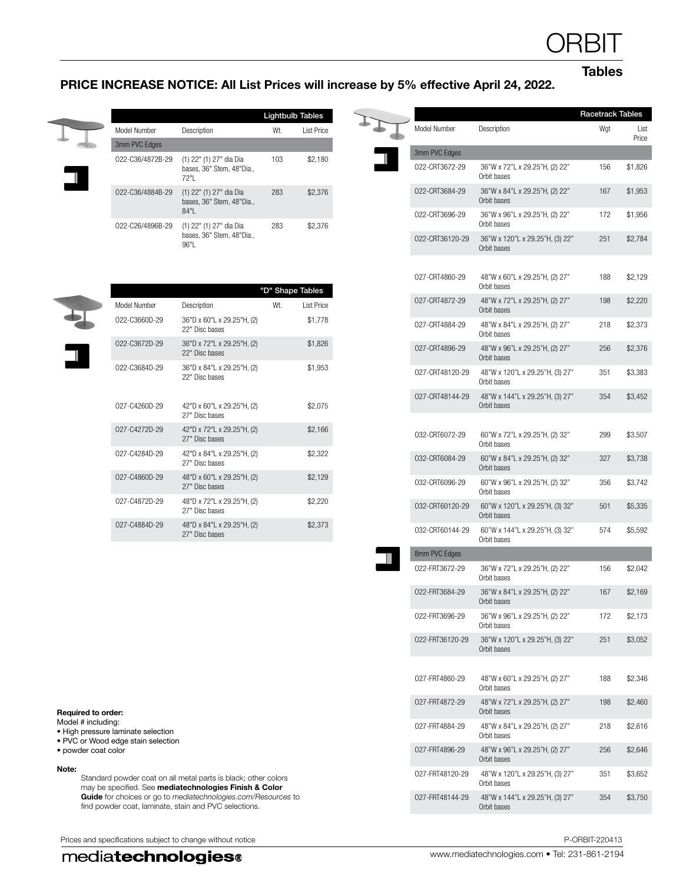**Tables** 

## PRICE INCREASE NOTICE: All List Prices will increase by 5% effective April 24, 2022.

\$2,373

|                  |                                                              | <b>Lightbulb Tables</b> |             |
|------------------|--------------------------------------------------------------|-------------------------|-------------|
| Model Number     | Description                                                  | Wt.                     | I ist Price |
| 3mm PVC Edges    |                                                              |                         |             |
| 022-C36/4872B-29 | (1) 22" (1) 27" dia Dia<br>bases. 36" Stem. 48"Dia<br>72"I   | 103                     | \$2.180     |
| 022-C36/4884B-29 | (1) 22" (1) 27" dia Dia<br>bases, 36" Stem, 48"Dia.,<br>84"  | 283                     | \$2,376     |
| 022-C26/4896B-29 | (1) 22" (1) 27" dia Dia<br>bases, 36" Stem, 48"Dia.,<br>96"1 | 283                     | \$2.376     |

|               |                                              | "D" Shape Tables |                   |
|---------------|----------------------------------------------|------------------|-------------------|
| Model Number  | Description                                  | Wt.              | <b>List Price</b> |
| 022-C3660D-29 | 36"D x 60"L x 29.25"H, (2)<br>22" Disc bases |                  | \$1,778           |
| 022-C3672D-29 | 36"D x 72"L x 29.25"H, (2)<br>22" Disc bases |                  | \$1,826           |
| 022-C3684D-29 | 36"D x 84"L x 29.25"H, (2)<br>22" Disc bases |                  | \$1,953           |
| 027-C4260D-29 | 42"D x 60"L x 29.25"H, (2)<br>27" Disc bases |                  | \$2,075           |
| 027-C4272D-29 | 42"D x 72"L x 29.25"H, (2)<br>27" Disc bases |                  | \$2,166           |
| 027-C4284D-29 | 42"D x 84"L x 29.25"H, (2)<br>27" Disc bases |                  | \$2,322           |
| 027-C4860D-29 | 48"D x 60"L x 29.25"H, (2)<br>27" Disc bases |                  | \$2,129           |
| 027-C4872D-29 | 48"D x 72"L x 29.25"H, (2)<br>27" Disc bases |                  | \$2,220           |

O27-C4884D-29 48"D x 84"L x 29.25"H, (2) 27" Disc bases

|                 |                                                | <b>Racetrack Tables</b> |               |
|-----------------|------------------------------------------------|-------------------------|---------------|
| Model Number    | Description                                    | Wgt                     | List<br>Price |
| 3mm PVC Edges   |                                                |                         |               |
| 022-CRT3672-29  | 36"W x 72"L x 29.25"H, (2) 22"<br>Orbit bases  | 156                     | \$1,826       |
| 022-CRT3684-29  | 36"W x 84"L x 29.25"H, (2) 22"<br>Orbit bases  | 167                     | \$1,953       |
| 022-CRT3696-29  | 36"W x 96"L x 29.25"H, (2) 22"<br>Orbit bases  | 172                     | \$1,956       |
| 022-CRT36120-29 | 36"W x 120"L x 29.25"H, (3) 22"<br>Orbit bases | 251                     | \$2,784       |
| 027-CRT4860-29  | 48"W x 60"L x 29.25"H, (2) 27"<br>Orbit bases  | 188                     | \$2,129       |
| 027-CRT4872-29  | 48"W x 72"L x 29.25"H, (2) 27"<br>Orbit bases  | 198                     | \$2,220       |
| 027-CRT4884-29  | 48"W x 84"L x 29.25"H, (2) 27"<br>Orbit bases  | 218                     | \$2,373       |
| 027-CRT4896-29  | 48"W x 96"L x 29.25"H, (2) 27"<br>Orbit bases  | 256                     | \$2,376       |
| 027-CRT48120-29 | 48"W x 120"L x 29.25"H, (3) 27"<br>Orbit bases | 351                     | \$3,383       |
| 027-CRT48144-29 | 48"W x 144"L x 29.25"H, (3) 27"<br>Orbit bases | 354                     | \$3,452       |
| 032-CRT6072-29  | 60"W x 72"L x 29.25"H, (2) 32"<br>Orbit bases  | 299                     | \$3,507       |
| 032-CRT6084-29  | 60"W x 84"L x 29.25"H, (2) 32"<br>Orbit bases  | 327                     | \$3,738       |
| 032-CRT6096-29  | 60"W x 96"L x 29.25"H, (2) 32"<br>Orbit bases  | 356                     | \$3,742       |
| 032-CRT60120-29 | 60"W x 120"L x 29.25"H, (3) 32"<br>Orbit bases | 501                     | \$5,335       |
| 032-CRT60144-29 | 60"W x 144"L x 29.25"H, (3) 32"<br>Orbit bases | 574                     | \$5,592       |
| 8mm PVC Edges   |                                                |                         |               |
| 022-FRT3672-29  | 36"W x 72"L x 29.25"H, (2) 22"<br>Orbit bases  | 156                     | \$2,042       |
| 022-FRT3684-29  | 36"W x 84"L x 29.25"H, (2) 22"<br>Orbit bases  | 167                     | \$2,169       |
| 022-FRT3696-29  | 36"W x 96"L x 29.25"H, (2) 22"<br>Orbit bases  | 172                     | \$2,173       |
| 022-FRT36120-29 | 36"W x 120"L x 29.25"H, (3) 22"<br>Orbit bases | 251                     | \$3,052       |
| 027-FRT4860-29  | 48"W x 60"L x 29.25"H, (2) 27"<br>Orbit bases  | 188                     | \$2,346       |
| 027-FRT4872-29  | 48"W x 72"L x 29.25"H, (2) 27"<br>Orbit bases  | 198                     | \$2,460       |
| 027-FRT4884-29  | 48"W x 84"L x 29.25"H, (2) 27"<br>Orbit bases  | 218                     | \$2,616       |
| 027-FRT4896-29  | 48"W x 96"L x 29.25"H, (2) 27"<br>Orbit bases  | 256                     | \$2,646       |
| 027-FRT48120-29 | 48"W x 120"L x 29.25"H, (3) 27"<br>Orbit bases | 351                     | \$3,652       |
| 027-FRT48144-29 | 48"W x 144"L x 29.25"H, (3) 27"<br>Orbit bases | 354                     | \$3,750       |
|                 |                                                |                         |               |

### Required to order:

Model # including:

- High pressure laminate selection
- PVC or Wood edge stain selection • powder coat color

## Note:

Standard powder coat on all metal parts is black; other colors may be specified. See mediatechnologies Finish & Color Guide for choices or go to *mediatechnologies.com/Resources* to find powder coat, laminate, stain and PVC selections.

Prices and specifications subject to change without notice **P-ORBIT-220413** P-ORBIT-220413

## mediatechnologies®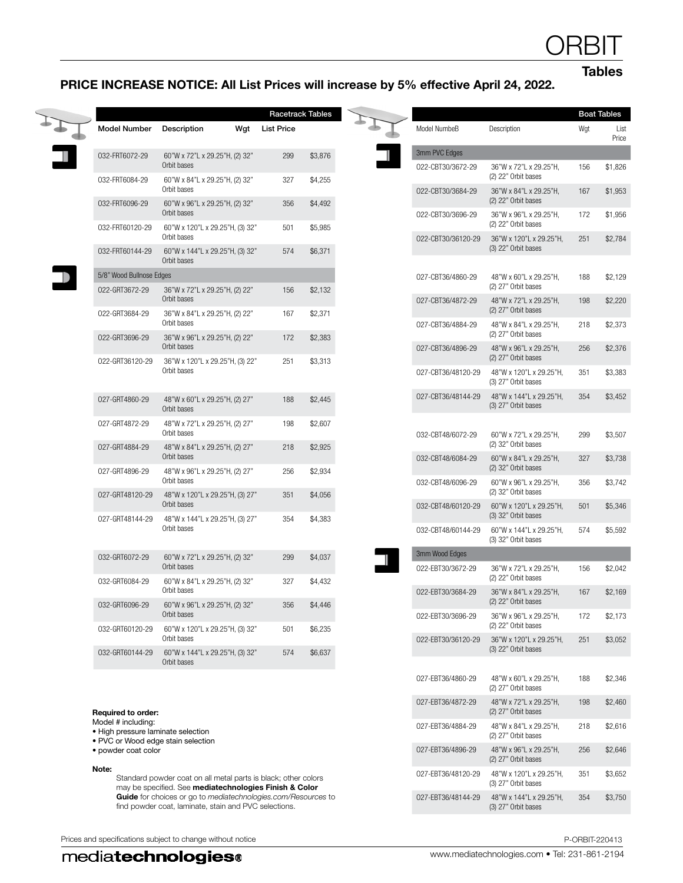Tables

## PRICE INCREASE NOTICE: All List Prices will increase by 5% effective April 24, 2022.

Racetrack Tables

| <b>Model Number</b>      | Description                                    | Wgt | <b>List Price</b> |         |
|--------------------------|------------------------------------------------|-----|-------------------|---------|
| 032-FRT6072-29           | 60"W x 72"L x 29.25"H, (2) 32"<br>Orbit bases  |     | 299               | \$3,876 |
| 032-FRT6084-29           | 60"W x 84"L x 29.25"H, (2) 32"<br>Orbit bases  |     | 327               | \$4,255 |
| 032-FRT6096-29           | 60"W x 96"L x 29.25"H, (2) 32"<br>Orbit bases  |     | 356               | \$4,492 |
| 032-FRT60120-29          | 60"W x 120"L x 29.25"H, (3) 32"<br>Orbit bases |     | 501               | \$5,985 |
| 032-FRT60144-29          | 60"W x 144"L x 29.25"H, (3) 32"<br>Orbit bases |     | 574               | \$6,371 |
| 5/8" Wood Bullnose Edges |                                                |     |                   |         |
| 022-GRT3672-29           | 36"W x 72"L x 29.25"H, (2) 22"<br>Orbit bases  |     | 156               | \$2,132 |
| 022-GRT3684-29           | 36"W x 84"L x 29.25"H, (2) 22"<br>Orbit bases  |     | 167               | \$2,371 |
| 022-GRT3696-29           | 36"W x 96"L x 29.25"H, (2) 22"<br>Orbit bases  |     | 172               | \$2,383 |
| 022-GRT36120-29          | 36"W x 120"L x 29.25"H, (3) 22"<br>Orbit bases |     | 251               | \$3,313 |
| 027-GRT4860-29           | 48"W x 60"L x 29.25"H, (2) 27"<br>Orbit bases  |     | 188               | \$2,445 |
| 027-GRT4872-29           | 48"W x 72"L x 29.25"H, (2) 27"<br>Orbit bases  |     | 198               | \$2,607 |
| 027-GRT4884-29           | 48"W x 84"L x 29.25"H, (2) 27"<br>Orbit bases  |     | 218               | \$2,925 |
| 027-GRT4896-29           | 48"W x 96"L x 29.25"H, (2) 27"<br>Orbit bases  |     | 256               | \$2,934 |
| 027-GRT48120-29          | 48"W x 120"L x 29.25"H, (3) 27"<br>Orbit bases |     | 351               | \$4,056 |
| 027-GRT48144-29          | 48"W x 144"L x 29.25"H, (3) 27"<br>Orbit bases |     | 354               | \$4,383 |
| 032-GRT6072-29           | 60"W x 72"L x 29.25"H, (2) 32"<br>Orbit bases  |     | 299               | \$4,037 |
| 032-GRT6084-29           | 60"W x 84"L x 29.25"H, (2) 32"<br>Orbit bases  |     | 327               | \$4,432 |
| 032-GRT6096-29           | 60"W x 96"L x 29.25"H, (2) 32"<br>Orbit bases  |     | 356               | \$4,446 |
| 032-GRT60120-29          | 60"W x 120"L x 29.25"H, (3) 32"<br>Orbit bases |     | 501               | \$6,235 |
| 032-GRT60144-29          | 60"W x 144"L x 29.25"H, (3) 32"<br>Orbit bases |     | 574               | \$6,637 |
|                          |                                                |     |                   |         |

### Required to order:

- Model # including:
- High pressure laminate selection
- PVC or Wood edge stain selection • powder coat color
- 

Note:

Standard powder coat on all metal parts is black; other colors may be specified. See mediatechnologies Finish & Color Guide for choices or go to *mediatechnologies.com/Resources* to find powder coat, laminate, stain and PVC selections.

Prices and specifications subject to change without notice **P-ORBIT-220413** P-ORBIT-220413

| mediatechnologies <sup>®</sup> |
|--------------------------------|
|--------------------------------|

|                    |                                                  |     | Boat Tables   |
|--------------------|--------------------------------------------------|-----|---------------|
| Model NumbeB       | Description                                      | Wgt | List<br>Price |
| 3mm PVC Edges      |                                                  |     |               |
| 022-CBT30/3672-29  | 36"W x 72"L x 29.25"H,<br>(2) 22" Orbit bases    | 156 | \$1,826       |
| 022-CBT30/3684-29  | 36"W x 84"L x 29.25"H.<br>(2) 22" Orbit bases    | 167 | \$1,953       |
| 022-CBT30/3696-29  | 36"W x 96"L x 29.25"H,<br>(2) 22" Orbit bases    | 172 | \$1,956       |
| 022-CBT30/36120-29 | 36"W x 120"L x 29.25"H,<br>(3) 22" Orbit bases   | 251 | \$2,784       |
| 027-CBT36/4860-29  | 48"W x 60"L x 29.25"H,<br>(2) 27" Orbit bases    | 188 | \$2,129       |
| 027-CBT36/4872-29  | 48"W x 72"L x 29.25"H,<br>(2) 27" Orbit bases    | 198 | \$2,220       |
| 027-CBT36/4884-29  | 48"W x 84"L x 29.25"H,<br>(2) 27" Orbit bases    | 218 | \$2,373       |
| 027-CBT36/4896-29  | 48"W x 96"L x 29.25"H,<br>(2) 27" Orbit bases    | 256 | \$2,376       |
| 027-CBT36/48120-29 | 48"W x 120"L x 29.25"H,<br>(3) 27" Orbit bases   | 351 | \$3,383       |
| 027-CBT36/48144-29 | 48"W x 144"L x 29.25"H,<br>(3) 27" Orbit bases   | 354 | \$3,452       |
| 032-CBT48/6072-29  | 60"W x 72"L x 29.25"H,<br>(2) 32" Orbit bases    | 299 | \$3,507       |
| 032-CBT48/6084-29  | 60"W x 84"L x 29.25"H,<br>(2) 32" Orbit bases    | 327 | \$3,738       |
| 032-CBT48/6096-29  | 60"W x 96"L x 29.25"H,<br>(2) 32" Orbit bases    | 356 | \$3,742       |
| 032-CBT48/60120-29 | 60"W x 120"L x 29.25"H,<br>$(3)$ 32" Orbit bases | 501 | \$5,346       |
| 032-CBT48/60144-29 | 60"W x 144"L x 29.25"H,<br>(3) 32" Orbit bases   | 574 | \$5,592       |
| 3mm Wood Edges     |                                                  |     |               |
| 022-EBT30/3672-29  | 36"W x 72"L x 29.25"H,<br>(2) 22" Orbit bases    | 156 | \$2,042       |
| 022-EBT30/3684-29  | 36"W x 84"L x 29.25"H,<br>(2) 22" Orbit bases    | 167 | \$2,169       |
| 022-EBT30/3696-29  | 36"W x 96"L x 29.25"H,<br>(2) 22" Orbit bases    | 172 | \$2,173       |
| 022-EBT30/36120-29 | 36"W x 120"L x 29.25"H,<br>(3) 22" Orbit bases   | 251 | \$3,052       |
| 027-EBT36/4860-29  | 48"W x 60"L x 29.25"H,<br>(2) 27" Orbit bases    | 188 | \$2,346       |
| 027-EBT36/4872-29  | 48"W x 72"L x 29.25"H,<br>(2) 27" Orbit bases    | 198 | \$2,460       |
| 027-EBT36/4884-29  | 48"W x 84"L x 29.25"H,<br>(2) 27" Orbit bases    | 218 | \$2,616       |
| 027-EBT36/4896-29  | 48"W x 96"L x 29.25"H,<br>(2) 27" Orbit bases    | 256 | \$2,646       |
| 027-EBT36/48120-29 | 48"W x 120"L x 29.25"H,<br>(3) 27" Orbit bases   | 351 | \$3,652       |
| 027-EBT36/48144-29 | 48"W x 144"L x 29.25"H,<br>(3) 27" Orbit bases   | 354 | \$3,750       |
|                    |                                                  |     |               |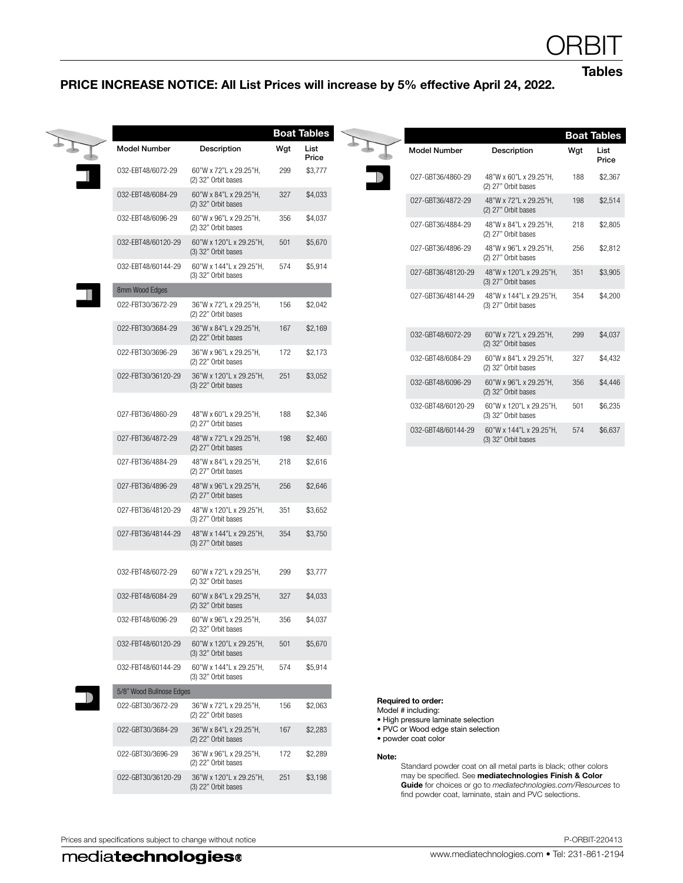Tables

## PRICE INCREASE NOTICE: All List Prices will increase by 5% effective April 24, 2022.

|                          |                                                  |     | <b>Boat Tables</b> |
|--------------------------|--------------------------------------------------|-----|--------------------|
| <b>Model Number</b>      | Description                                      | Wgt | List<br>Price      |
| 032-EBT48/6072-29        | 60"W x 72"L x 29.25"H,<br>(2) 32" Orbit bases    | 299 | \$3,777            |
| 032-EBT48/6084-29        | 60"W x 84"L x 29.25"H,<br>(2) 32" Orbit bases    | 327 | \$4,033            |
| 032-EBT48/6096-29        | 60"W x 96"L x 29.25"H,<br>(2) 32" Orbit bases    | 356 | \$4,037            |
| 032-EBT48/60120-29       | 60"W x 120"L x 29.25"H,<br>$(3)$ 32" Orbit bases | 501 | \$5,670            |
| 032-EBT48/60144-29       | 60"W x 144"L x 29.25"H,<br>(3) 32" Orbit bases   | 574 | \$5,914            |
| 8mm Wood Edges           |                                                  |     |                    |
| 022-FBT30/3672-29        | 36"W x 72"L x 29.25"H,<br>(2) 22" Orbit bases    | 156 | \$2,042            |
| 022-FBT30/3684-29        | 36"W x 84"L x 29.25"H,<br>(2) 22" Orbit bases    | 167 | \$2,169            |
| 022-FBT30/3696-29        | 36"W x 96"L x 29.25"H,<br>(2) 22" Orbit bases    | 172 | \$2,173            |
| 022-FBT30/36120-29       | 36"W x 120"L x 29.25"H,<br>$(3)$ 22" Orbit bases | 251 | \$3,052            |
| 027-FBT36/4860-29        | 48"W x 60"L x 29.25"H,<br>(2) 27" Orbit bases    | 188 | \$2,346            |
| 027-FBT36/4872-29        | 48"W x 72"L x 29.25"H,<br>(2) 27" Orbit bases    | 198 | \$2,460            |
| 027-FBT36/4884-29        | 48"W x 84"L x 29.25"H,<br>(2) 27" Orbit bases    | 218 | \$2,616            |
| 027-FBT36/4896-29        | 48"W x 96"L x 29.25"H,<br>(2) 27" Orbit bases    | 256 | \$2,646            |
| 027-FBT36/48120-29       | 48"W x 120"L x 29.25"H,<br>(3) 27" Orbit bases   | 351 | \$3,652            |
| 027-FBT36/48144-29       | 48"W x 144"L x 29.25"H,<br>(3) 27" Orbit bases   | 354 | \$3,750            |
| 032-FBT48/6072-29        | 60"W x 72"L x 29.25"H,<br>(2) 32" Orbit bases    | 299 | \$3,777            |
| 032-FBT48/6084-29        | 60"W x 84"L x 29.25"H,<br>(2) 32" Orbit bases    | 327 | \$4,033            |
| 032-FBT48/6096-29        | 60"W x 96"L x 29.25"H,<br>(2) 32" Orbit bases    | 356 | \$4,037            |
| 032-FBT48/60120-29       | 60"W x 120"L x 29.25"H,<br>$(3)$ 32" Orbit bases | 501 | \$5,670            |
| 032-FBT48/60144-29       | 60"W x 144"L x 29.25"H,<br>(3) 32" Orbit bases   | 574 | \$5,914            |
| 5/8" Wood Bullnose Edges |                                                  |     |                    |
| 022-GBT30/3672-29        | 36"W x 72"L x 29.25"H,<br>(2) 22" Orbit bases    | 156 | \$2,063            |
| 022-GBT30/3684-29        | 36"W x 84"L x 29.25"H,<br>(2) 22" Orbit bases    | 167 | \$2,283            |
| 022-GBT30/3696-29        | 36"W x 96"L x 29.25"H,<br>(2) 22" Orbit bases    | 172 | \$2,289            |
| 022-GBT30/36120-29       | 36"W x 120"L x 29.25"H,<br>$(3)$ 22" Orbit bases | 251 | \$3,198            |

|                     |                                                |     | <b>Boat Tables</b> |
|---------------------|------------------------------------------------|-----|--------------------|
| <b>Model Number</b> | Description                                    | Wgt | List<br>Price      |
| 027-GBT36/4860-29   | 48"W x 60"L x 29.25"H.<br>(2) 27" Orbit bases  | 188 | \$2,367            |
| 027-GBT36/4872-29   | 48"W x 72"L x 29.25"H.<br>(2) 27" Orbit bases  | 198 | \$2.514            |
| 027-GBT36/4884-29   | 48"W x 84"L x 29.25"H.<br>(2) 27" Orbit bases  | 218 | \$2,805            |
| 027-GBT36/4896-29   | 48"W x 96"L x 29.25"H.<br>(2) 27" Orbit bases  | 256 | \$2,812            |
| 027-GBT36/48120-29  | 48"W x 120"L x 29.25"H,<br>(3) 27" Orbit bases | 351 | \$3,905            |
| 027-GBT36/48144-29  | 48"W x 144"L x 29.25"H.<br>(3) 27" Orbit bases | 354 | \$4.200            |
| 032-GBT48/6072-29   | 60"W x 72"L x 29.25"H,<br>(2) 32" Orbit bases  | 299 | \$4,037            |
| 032-GBT48/6084-29   | 60"W x 84"L x 29.25"H.<br>(2) 32" Orbit bases  | 327 | \$4.432            |
| 032-GBT48/6096-29   | 60"W x 96"L x 29.25"H,<br>(2) 32" Orbit bases  | 356 | \$4,446            |
| 032-GBT48/60120-29  | 60"W x 120"L x 29.25"H.<br>(3) 32" Orbit bases | 501 | \$6.235            |
| 032-GBT48/60144-29  | 60"W x 144"L x 29.25"H.<br>(3) 32" Orbit bases | 574 | \$6.637            |
|                     |                                                |     |                    |

### Required to order:

Model # including:

- High pressure laminate selection
- PVC or Wood edge stain selection
- powder coat color

### Note:

Standard powder coat on all metal parts is black; other colors may be specified. See mediatechnologies Finish & Color Guide for choices or go to *mediatechnologies.com/Resources* to find powder coat, laminate, stain and PVC selections.

Prices and specifications subject to change without notice **P-ORBIT-220413** P-ORBIT-220413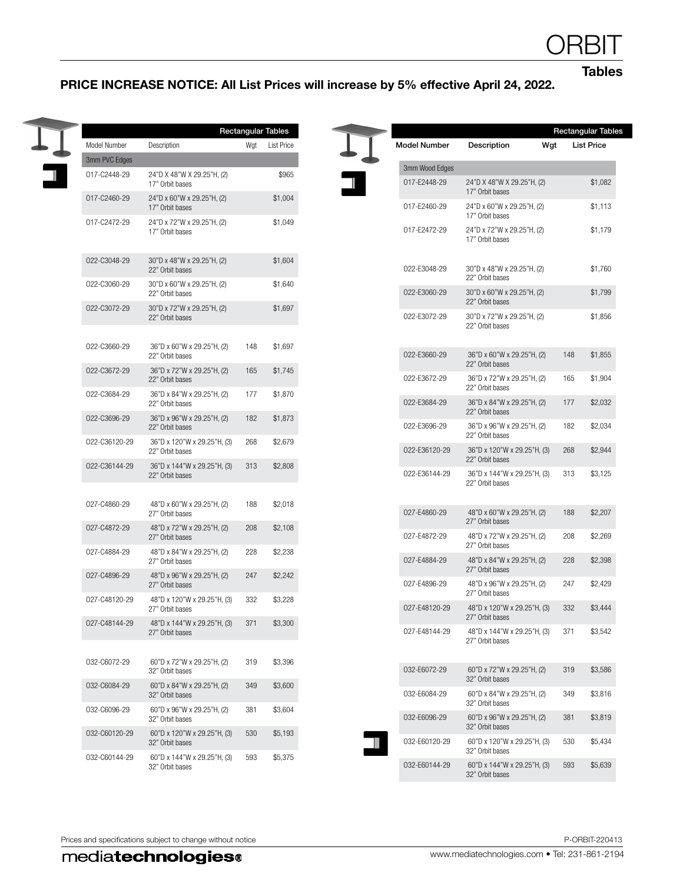**Tables** 

## PRICE INCREASE NOTICE: All List Prices will increase by 5% effective April 24, 2022.

|                                                                                                                                                     |                     |                 | <b>Rectangular Tables</b>                            |
|-----------------------------------------------------------------------------------------------------------------------------------------------------|---------------------|-----------------|------------------------------------------------------|
| Description<br>Model Number<br>Wgt<br><b>List Price</b>                                                                                             | <b>Model Number</b> | Description     | Wgt<br><b>List Price</b>                             |
| 3mm PVC Edges                                                                                                                                       | 3mm Wood Edges      |                 |                                                      |
| 017-C2448-29<br>24"D X 48"W X 29.25"H, (2)<br>\$965<br>17" Orbit bases                                                                              | 017-E2448-29        | 17" Orbit bases | 24"D X 48"W X 29.25"H, (2)                           |
| 017-C2460-29<br>24"D x 60"W x 29.25"H, (2)<br>\$1,004<br>17" Orbit bases                                                                            | 017-E2460-29        | 17" Orbit bases | 24"D x 60"W x 29.25"H, (2)                           |
| 24"D x 72"W x 29.25"H, (2)<br>\$1,049<br>017-C2472-29<br>17" Orbit bases                                                                            | 017-E2472-29        | 17" Orbit bases | 24"D x 72"W x 29.25"H, (2)                           |
| 022-C3048-29<br>\$1,604<br>30"D x 48"W x 29.25"H, (2)<br>22" Orbit bases                                                                            | 022-E3048-29        | 22" Orbit bases | 30"D x 48"W x 29.25"H, (2)                           |
| \$1,640<br>022-C3060-29<br>30"D x 60"W x 29.25"H, (2)<br>22" Orbit bases                                                                            | 022-E3060-29        | 22" Orbit bases | 30"D x 60"W x 29.25"H, (2)                           |
| \$1,697<br>022-C3072-29<br>30"D x 72"W x 29.25"H, (2)<br>22" Orbit bases                                                                            | 022-E3072-29        | 22" Orbit bases | 30"D x 72"W x 29.25"H, (2)                           |
| 022-C3660-29<br>36"D x 60"W x 29.25"H, (2)<br>148<br>\$1,697<br>22" Orbit bases                                                                     | 022-E3660-29        |                 | 36"D x 60"W x 29.25"H, (2)<br>148                    |
| 022-C3672-29<br>36"D x 72"W x 29.25"H, (2)<br>165<br>\$1,745<br>22" Orbit bases                                                                     | 022-E3672-29        | 22" Orbit bases | 36"D x 72"W x 29.25"H, (2)<br>165                    |
| 022-C3684-29<br>36"D x 84"W x 29.25"H, (2)<br>\$1,870<br>177<br>22" Orbit bases                                                                     | 022-E3684-29        | 22" Orbit bases | 36"D x 84"W x 29.25"H, (2)<br>177                    |
| 022-C3696-29<br>36"D x 96"W x 29.25"H, (2)<br>182<br>\$1,873<br>22" Orbit bases                                                                     | 022-E3696-29        | 22" Orbit bases | 36"D x 96"W x 29.25"H, (2)<br>182                    |
| 022-C36120-29<br>36"D x 120"W x 29.25"H, (3)<br>268<br>\$2,679<br>22" Orbit bases                                                                   | 022-E36120-29       | 22" Orbit bases | 36"D x 120"W x 29.25"H, (3)<br>268                   |
| 022-C36144-29<br>36"D x 144"W x 29.25"H, (3)<br>313<br>\$2,808<br>22" Orbit bases                                                                   | 022-E36144-29       | 22" Orbit bases | 36"D x 144"W x 29.25"H, (3)<br>313                   |
|                                                                                                                                                     |                     | 22" Orbit bases |                                                      |
| 027-C4860-29<br>48"D x 60"W x 29.25"H, (2)<br>188<br>\$2,018<br>27" Orbit bases                                                                     | 027-E4860-29        | 27" Orbit bases | 48"D x 60"W x 29.25"H, (2)<br>188                    |
| 027-C4872-29<br>48"D x 72"W x 29.25"H, (2)<br>208<br>\$2,108<br>27" Orbit bases                                                                     | 027-E4872-29        | 27" Orbit bases | 48"D x 72"W x 29.25"H, (2)<br>208                    |
| 027-C4884-29<br>48"D x 84"W x 29.25"H, (2)<br>228<br>\$2,238<br>27" Orbit bases                                                                     | 027-E4884-29        | 27" Orbit bases | 48"D x 84"W x 29.25"H, (2)<br>228                    |
| 027-C4896-29<br>48"D x 96"W x 29.25"H, (2)<br>247<br>\$2,242<br>27" Orbit bases                                                                     | 027-E4896-29        | 27" Orbit bases | 48"D x 96"W x 29.25"H, (2)<br>247                    |
| 48"D x 120"W x 29.25"H, (3)<br>027-C48120-29<br>332<br>\$3,228<br>27" Orbit bases                                                                   | 027-E48120-29       | 27" Orbit bases | 48"D x 120"W x 29.25"H, (3)<br>332                   |
| 48"D x 144"W x 29.25"H, (3)<br>027-C48144-29<br>371<br>\$3,300<br>27" Orbit bases                                                                   | 027-E48144-29       | 27" Orbit bases | 48"D x 144"W x 29.25"H, (3)<br>371                   |
| 032-C6072-29<br>60"D x 72"W x 29.25"H, (2)<br>319<br>\$3,396                                                                                        |                     |                 |                                                      |
| 32" Orbit bases<br>032-C6084-29<br>60"D x 84"W x 29.25"H, (2)<br>\$3,600<br>349                                                                     | 032-E6072-29        | 32" Orbit bases | 60"D x 72"W x 29.25"H, (2)<br>319                    |
| 32" Orbit bases                                                                                                                                     | 032-E6084-29        | 32" Orbit bases | 60"D x 84"W x 29.25"H, (2)<br>349                    |
|                                                                                                                                                     |                     | 032-E6096-29    | 60"D x 96"W x 29.25"H, (2)<br>381<br>32" Orbit bases |
| 032-C6096-29<br>60"D x 96"W x 29.25"H, (2)<br>381<br>\$3,604<br>32" Orbit bases                                                                     |                     |                 |                                                      |
| 032-C60120-29<br>60"D x 120"W x 29.25"H, (3)<br>530<br>\$5,193<br>32" Orbit bases<br>032-C60144-29<br>60"D x 144"W x 29.25"H, (3)<br>593<br>\$5,375 | 032-E60120-29       | 32" Orbit bases | 60"D x 120"W x 29.25"H, (3)<br>530                   |

4